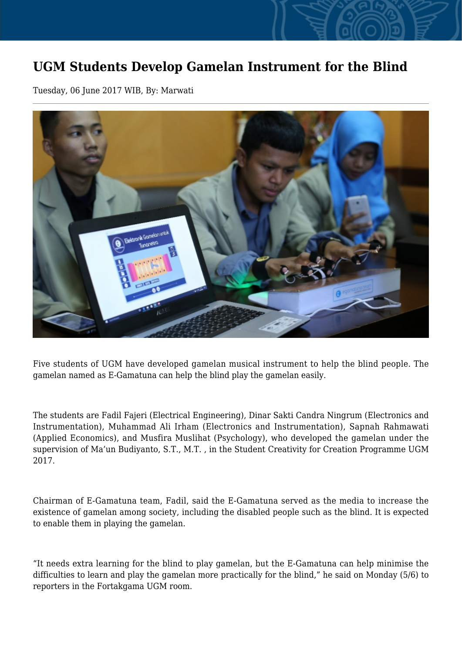## **UGM Students Develop Gamelan Instrument for the Blind**

Tuesday, 06 June 2017 WIB, By: Marwati



Five students of UGM have developed gamelan musical instrument to help the blind people. The gamelan named as E-Gamatuna can help the blind play the gamelan easily.

The students are Fadil Fajeri (Electrical Engineering), Dinar Sakti Candra Ningrum (Electronics and Instrumentation), Muhammad Ali Irham (Electronics and Instrumentation), Sapnah Rahmawati (Applied Economics), and Musfira Muslihat (Psychology), who developed the gamelan under the supervision of Ma'un Budiyanto, S.T., M.T. , in the Student Creativity for Creation Programme UGM 2017.

Chairman of E-Gamatuna team, Fadil, said the E-Gamatuna served as the media to increase the existence of gamelan among society, including the disabled people such as the blind. It is expected to enable them in playing the gamelan.

"It needs extra learning for the blind to play gamelan, but the E-Gamatuna can help minimise the difficulties to learn and play the gamelan more practically for the blind," he said on Monday (5/6) to reporters in the Fortakgama UGM room.